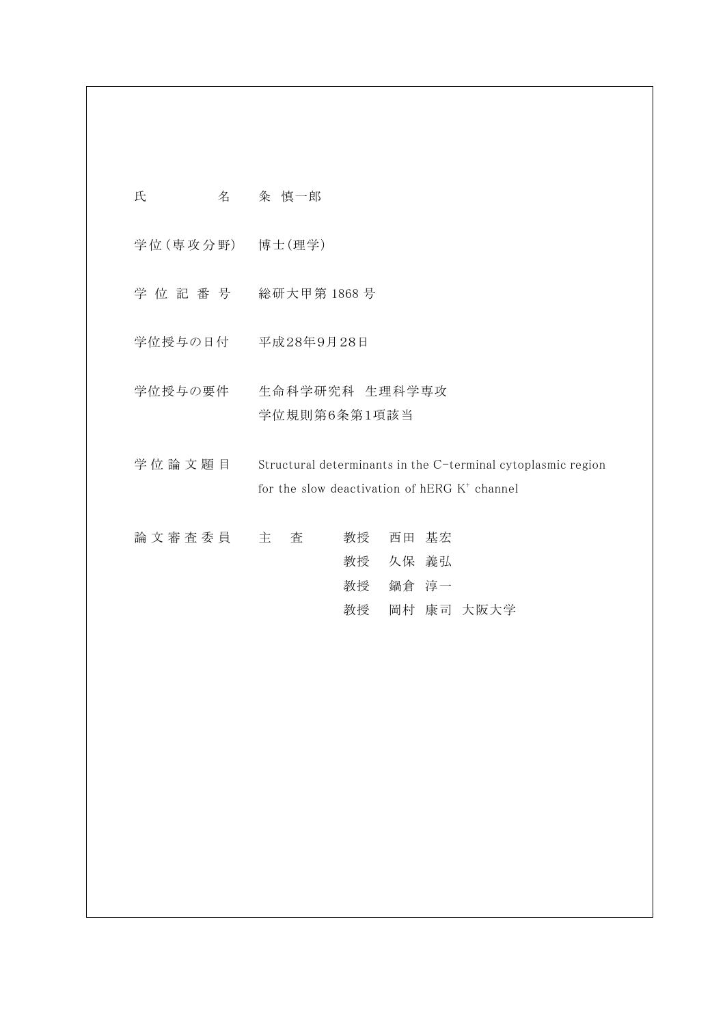| 氏<br>名            | 粂 慎一郎                                                                                                                    |
|-------------------|--------------------------------------------------------------------------------------------------------------------------|
| 学位 (専攻分野) 博士 (理学) |                                                                                                                          |
| 学 位 記 番 号         | 総研大甲第1868号                                                                                                               |
|                   | 学位授与の日付 平成28年9月28日                                                                                                       |
| 学位授与の要件           | 生命科学研究科 生理科学専攻<br>学位規則第6条第1項該当                                                                                           |
| 学位論文題目            | Structural determinants in the C-terminal cytoplasmic region<br>for the slow deactivation of hERG K <sup>+</sup> channel |
| 論文審査委員            | 教授<br>主<br>査<br>西田 基宏<br>教授 久保 義弘<br>教授<br>鍋倉 淳一                                                                         |
|                   | 岡村 康司 大阪大学<br>教授                                                                                                         |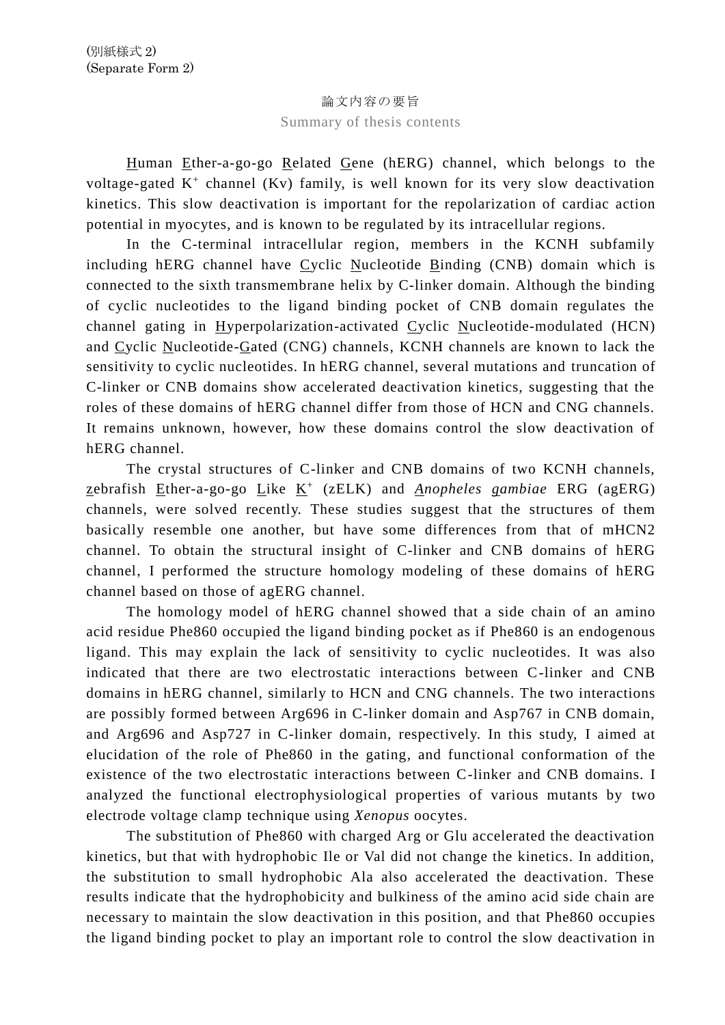## 論文内容の要旨 Summary of thesis contents

Human Ether-a-go-go Related Gene (hERG) channel, which belongs to the voltage-gated K<sup>+</sup> channel (Kv) family, is well known for its very slow deactivation kinetics. This slow deactivation is important for the repolarization of cardiac action potential in myocytes, and is known to be regulated by its intracellular regions.

In the C-terminal intracellular region, members in the KCNH subfamily including hERG channel have Cyclic Nucleotide Binding (CNB) domain which is connected to the sixth transmembrane helix by C-linker domain. Although the binding of cyclic nucleotides to the ligand binding pocket of CNB domain regulates the channel gating in Hyperpolarization-activated Cyclic Nucleotide-modulated (HCN) and Cyclic Nucleotide-Gated (CNG) channels, KCNH channels are known to lack the sensitivity to cyclic nucleotides. In hERG channel, several mutations and truncation of C-linker or CNB domains show accelerated deactivation kinetics, suggesting that the roles of these domains of hERG channel differ from those of HCN and CNG channels. It remains unknown, however, how these domains control the slow deactivation of hERG channel.

The crystal structures of C-linker and CNB domains of two KCNH channels, zebrafish Ether-a-go-go Like K<sup>+</sup> (zELK) and *Anopheles gambiae* ERG (agERG) channels, were solved recently. These studies suggest that the structures of them basically resemble one another, but have some differences from that of mHCN2 channel. To obtain the structural insight of C-linker and CNB domains of hERG channel, I performed the structure homology modeling of these domains of hERG channel based on those of agERG channel.

The homology model of hERG channel showed that a side chain of an amino acid residue Phe860 occupied the ligand binding pocket as if Phe860 is an endogenous ligand. This may explain the lack of sensitivity to cyclic nucleotides. It was also indicated that there are two electrostatic interactions between C-linker and CNB domains in hERG channel, similarly to HCN and CNG channels. The two interactions are possibly formed between Arg696 in C-linker domain and Asp767 in CNB domain, and Arg696 and Asp727 in C-linker domain, respectively. In this study, I aimed at elucidation of the role of Phe860 in the gating, and functional conformation of the existence of the two electrostatic interactions between C-linker and CNB domains. I analyzed the functional electrophysiological properties of various mutants by two electrode voltage clamp technique using *Xenopus* oocytes.

The substitution of Phe860 with charged Arg or Glu accelerated the deactivation kinetics, but that with hydrophobic Ile or Val did not change the kinetics. In addition, the substitution to small hydrophobic Ala also accelerated the deactivation. These results indicate that the hydrophobicity and bulkiness of the amino acid side chain are necessary to maintain the slow deactivation in this position, and that Phe860 occupies the ligand binding pocket to play an important role to control the slow deactivation in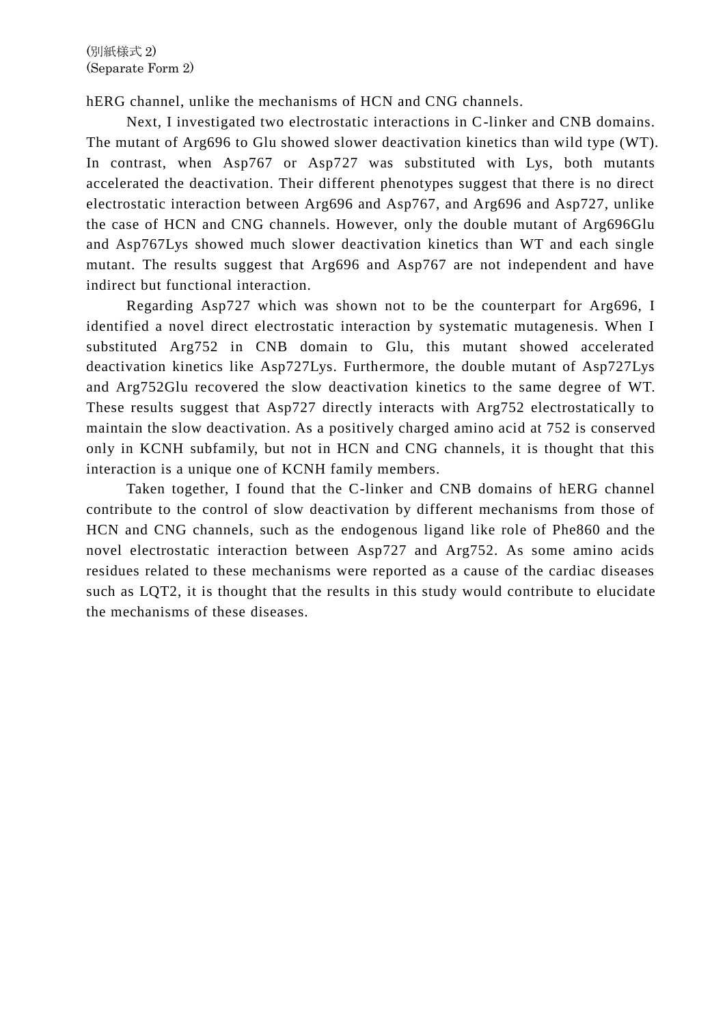hERG channel, unlike the mechanisms of HCN and CNG channels.

 Next, I investigated two electrostatic interactions in C-linker and CNB domains. The mutant of Arg696 to Glu showed slower deactivation kinetics than wild type (WT). In contrast, when Asp767 or Asp727 was substituted with Lys, both mutants accelerated the deactivation. Their different phenotypes suggest that there is no direct electrostatic interaction between Arg696 and Asp767, and Arg696 and Asp727, unlike the case of HCN and CNG channels. However, only the double mutant of Arg696Glu and Asp767Lys showed much slower deactivation kinetics than WT and each single mutant. The results suggest that Arg696 and Asp767 are not independent and have indirect but functional interaction.

 Regarding Asp727 which was shown not to be the counterpart for Arg696, I identified a novel direct electrostatic interaction by systematic mutagenesis. When I substituted Arg752 in CNB domain to Glu, this mutant showed accelerated deactivation kinetics like Asp727Lys. Furthermore, the double mutant of Asp727Lys and Arg752Glu recovered the slow deactivation kinetics to the same degree of WT. These results suggest that Asp727 directly interacts with Arg752 electrostatically to maintain the slow deactivation. As a positively charged amino acid at 752 is conserved only in KCNH subfamily, but not in HCN and CNG channels, it is thought that this interaction is a unique one of KCNH family members.

 Taken together, I found that the C-linker and CNB domains of hERG channel contribute to the control of slow deactivation by different mechanisms from those of HCN and CNG channels, such as the endogenous ligand like role of Phe860 and the novel electrostatic interaction between Asp727 and Arg752. As some amino acids residues related to these mechanisms were reported as a cause of the cardiac diseases such as LQT2, it is thought that the results in this study would contribute to elucidate the mechanisms of these diseases.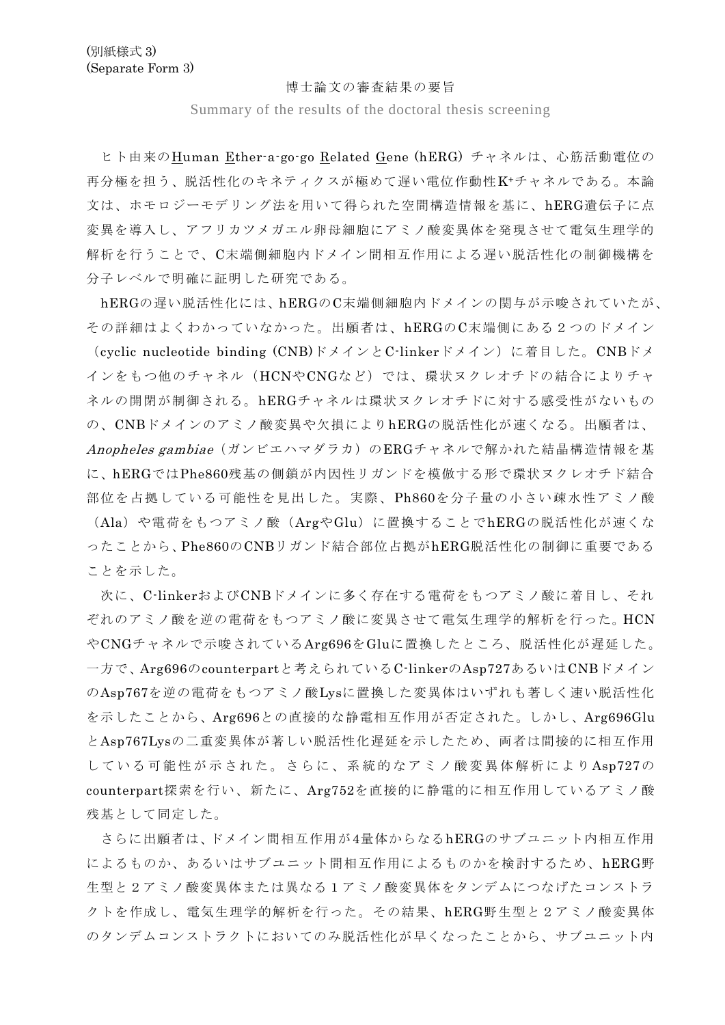## 博士論文の審査結果の要旨

Summary of the results of the doctoral thesis screening

ヒト由来のHuman Ether-a-go-go Related Gene (hERG) チャネルは、心筋活動電位の 再分極を担う、脱活性化のキネティクスが極めて遅い電位作動性K+チャネルである。本論 文は、ホモロジーモデリング法を用いて得られた空間構造情報を基に、hERG遺伝子に点 変異を導入し、アフリカツメガエル卵母細胞にアミノ酸変異体を発現させて電気生理学的 解析を行うことで、C末端側細胞内ドメイン間相互作用による遅い脱活性化の制御機構を 分子レベルで明確に証明した研究である。

hERGの遅い脱活性化には、hERGのC末端側細胞内ドメインの関与が示唆されていたが、 その詳細はよくわかっていなかった。出願者は、hERGのC末端側にある2つのドメイン (cyclic nucleotide binding (CNB)ドメインとC-linkerドメイン)に着目した。CNBドメ インをもつ他のチャネル(HCNやCNGなど)では、環状ヌクレオチドの結合によりチャ ネルの開閉が制御される。hERGチャネルは環状ヌクレオチドに対する感受性がないもの の、CNBドメインのアミノ酸変異や欠損によりhERGの脱活性化が速くなる。出願者は、 Anopheles gambiae(ガンビエハマダラカ)のERGチャネルで解かれた結晶構造情報を基 に、hERGではPhe860残基の側鎖が内因性リガンドを模倣する形で環状ヌクレオチド結合 部位を占拠している可能性を見出した。実際、Ph860を分子量の小さい疎水性アミノ酸 (Ala)や電荷をもつアミノ酸(ArgやGlu)に置換することでhERGの脱活性化が速くな ったことから、Phe860のCNBリガンド結合部位占拠がhERG脱活性化の制御に重要である ことを示した。

次に、C-linkerおよびCNBドメインに多く存在する電荷をもつアミノ酸に着目し、それ ぞれのアミノ酸を逆の電荷をもつアミノ酸に変異させて電気生理学的解析を行った。HCN やCNGチャネルで示唆されているArg696をGluに置換したところ、脱活性化が遅延した。 一方で、Arg696のcounterpartと考えられているC-linkerのAsp727あるいはCNBドメイン のAsp767を逆の電荷をもつアミノ酸Lysに置換した変異体はいずれも著しく速い脱活性化 を示したことから、Arg696との直接的な静電相互作用が否定された。しかし、Arg696Glu とAsp767Lysの二重変異体が著しい脱活性化遅延を示したため、両者は間接的に相互作用 している可能性が示された。さらに、系統的なアミノ酸変異体解析により Asp727の counterpart探索を行い、新たに、Arg752を直接的に静電的に相互作用しているアミノ酸 残基として同定した。

さらに出願者は、ドメイン間相互作用が4量体からなるhERGのサブユニット内相互作用 によるものか、あるいはサブユニット間相互作用によるものかを検討するため、hERG野 生型と2アミノ酸変異体または異なる1アミノ酸変異体をタンデムにつなげたコンストラ クトを作成し、電気生理学的解析を行った。その結果、hERG野生型と2アミノ酸変異体 のタンデムコンストラクトにおいてのみ脱活性化が早くなったことから、サブユニット内